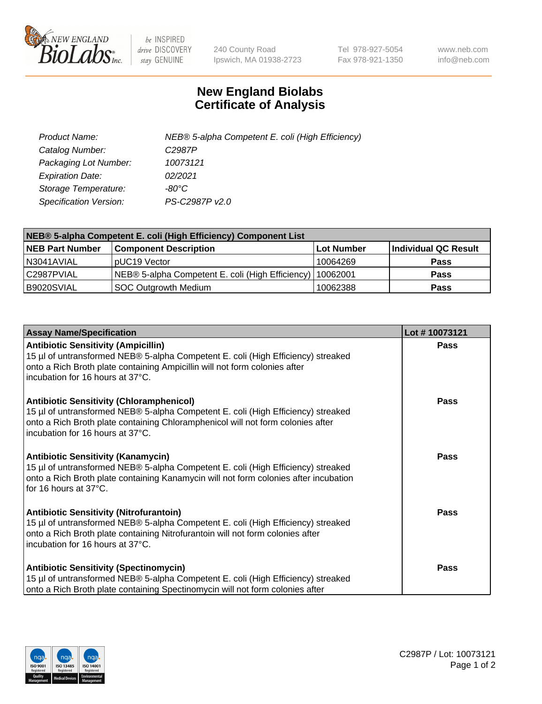

 $be$  INSPIRED drive DISCOVERY stay GENUINE

240 County Road Ipswich, MA 01938-2723 Tel 978-927-5054 Fax 978-921-1350 www.neb.com info@neb.com

## **New England Biolabs Certificate of Analysis**

| Product Name:                 | NEB® 5-alpha Competent E. coli (High Efficiency) |
|-------------------------------|--------------------------------------------------|
| Catalog Number:               | C <sub>2987</sub> P                              |
| Packaging Lot Number:         | 10073121                                         |
| <b>Expiration Date:</b>       | 02/2021                                          |
| Storage Temperature:          | -80°C                                            |
| <b>Specification Version:</b> | PS-C2987P v2.0                                   |

| NEB® 5-alpha Competent E. coli (High Efficiency) Component List |                                                             |            |                      |  |
|-----------------------------------------------------------------|-------------------------------------------------------------|------------|----------------------|--|
| <b>NEB Part Number</b>                                          | <b>Component Description</b>                                | Lot Number | Individual QC Result |  |
| N3041AVIAL                                                      | pUC19 Vector                                                | 10064269   | <b>Pass</b>          |  |
| C2987PVIAL                                                      | NEB® 5-alpha Competent E. coli (High Efficiency)   10062001 |            | <b>Pass</b>          |  |
| B9020SVIAL                                                      | <b>SOC Outgrowth Medium</b>                                 | 10062388   | <b>Pass</b>          |  |

| <b>Assay Name/Specification</b>                                                                                                                                                                                                                            | Lot #10073121 |
|------------------------------------------------------------------------------------------------------------------------------------------------------------------------------------------------------------------------------------------------------------|---------------|
| <b>Antibiotic Sensitivity (Ampicillin)</b><br>15 µl of untransformed NEB® 5-alpha Competent E. coli (High Efficiency) streaked<br>onto a Rich Broth plate containing Ampicillin will not form colonies after<br>incubation for 16 hours at 37°C.           | <b>Pass</b>   |
| <b>Antibiotic Sensitivity (Chloramphenicol)</b><br>15 µl of untransformed NEB® 5-alpha Competent E. coli (High Efficiency) streaked<br>onto a Rich Broth plate containing Chloramphenicol will not form colonies after<br>incubation for 16 hours at 37°C. | Pass          |
| Antibiotic Sensitivity (Kanamycin)<br>15 µl of untransformed NEB® 5-alpha Competent E. coli (High Efficiency) streaked<br>onto a Rich Broth plate containing Kanamycin will not form colonies after incubation<br>for 16 hours at 37°C.                    | Pass          |
| <b>Antibiotic Sensitivity (Nitrofurantoin)</b><br>15 µl of untransformed NEB® 5-alpha Competent E. coli (High Efficiency) streaked<br>onto a Rich Broth plate containing Nitrofurantoin will not form colonies after<br>incubation for 16 hours at 37°C.   | <b>Pass</b>   |
| <b>Antibiotic Sensitivity (Spectinomycin)</b><br>15 µl of untransformed NEB® 5-alpha Competent E. coli (High Efficiency) streaked<br>onto a Rich Broth plate containing Spectinomycin will not form colonies after                                         | Pass          |